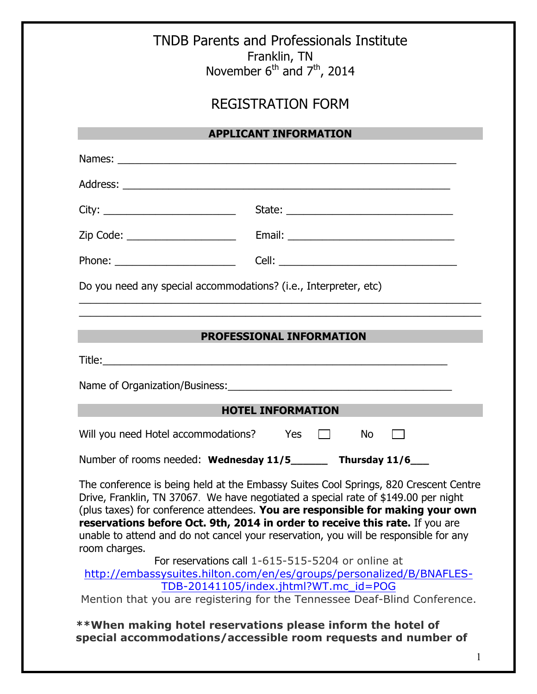|                                                          | <b>TNDB Parents and Professionals Institute</b><br>Franklin, TN<br>November $6^{th}$ and $7^{th}$ , 2014 |  |  |  |  |
|----------------------------------------------------------|----------------------------------------------------------------------------------------------------------|--|--|--|--|
| <b>REGISTRATION FORM</b><br><b>APPLICANT INFORMATION</b> |                                                                                                          |  |  |  |  |
|                                                          |                                                                                                          |  |  |  |  |
|                                                          |                                                                                                          |  |  |  |  |
|                                                          |                                                                                                          |  |  |  |  |
| Zip Code: ______________________                         |                                                                                                          |  |  |  |  |
|                                                          |                                                                                                          |  |  |  |  |
|                                                          |                                                                                                          |  |  |  |  |
|                                                          | <b>HOTEL INFORMATION</b>                                                                                 |  |  |  |  |
| Will you need Hotel accommodations?                      | <b>Yes</b><br>No.                                                                                        |  |  |  |  |
|                                                          |                                                                                                          |  |  |  |  |
|                                                          | Number of rooms needed: Wednesday 11/5 Thursday 11/6                                                     |  |  |  |  |